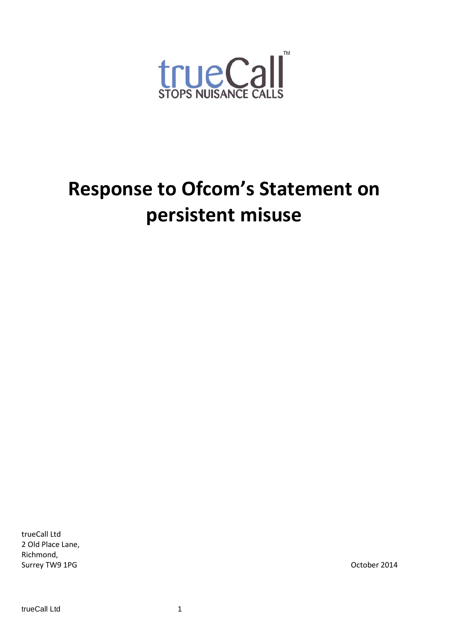

# **Response to Ofcom's Statement on persistent misuse**

trueCall Ltd 2 Old Place Lane, Richmond, Surrey TW9 1PG **October 2014**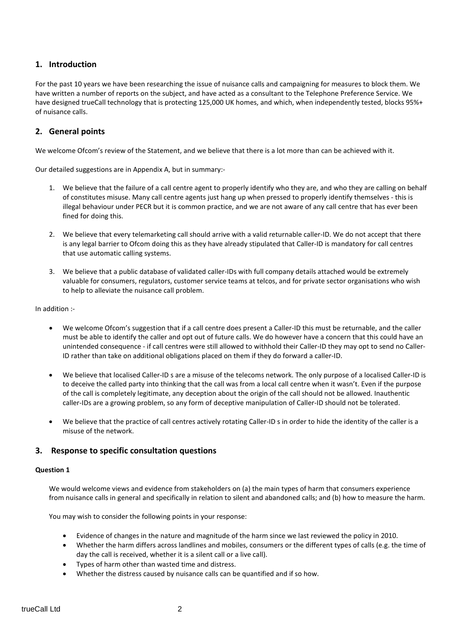#### **1. Introduction**

For the past 10 years we have been researching the issue of nuisance calls and campaigning for measures to block them. We have written a number of reports on the subject, and have acted as a consultant to the Telephone Preference Service. We have designed trueCall technology that is protecting 125,000 UK homes, and which, when independently tested, blocks 95%+ of nuisance calls.

#### **2. General points**

We welcome Ofcom's review of the Statement, and we believe that there is a lot more than can be achieved with it.

Our detailed suggestions are in Appendix A, but in summary:-

- 1. We believe that the failure of a call centre agent to properly identify who they are, and who they are calling on behalf of constitutes misuse. Many call centre agents just hang up when pressed to properly identify themselves - this is illegal behaviour under PECR but it is common practice, and we are not aware of any call centre that has ever been fined for doing this.
- 2. We believe that every telemarketing call should arrive with a valid returnable caller-ID. We do not accept that there is any legal barrier to Ofcom doing this as they have already stipulated that Caller-ID is mandatory for call centres that use automatic calling systems.
- 3. We believe that a public database of validated caller-IDs with full company details attached would be extremely valuable for consumers, regulators, customer service teams at telcos, and for private sector organisations who wish to help to alleviate the nuisance call problem.

In addition :-

- We welcome Ofcom's suggestion that if a call centre does present a Caller-ID this must be returnable, and the caller must be able to identify the caller and opt out of future calls. We do however have a concern that this could have an unintended consequence - if call centres were still allowed to withhold their Caller-ID they may opt to send no Caller-ID rather than take on additional obligations placed on them if they do forward a caller-ID.
- We believe that localised Caller-ID s are a misuse of the telecoms network. The only purpose of a localised Caller-ID is to deceive the called party into thinking that the call was from a local call centre when it wasn't. Even if the purpose of the call is completely legitimate, any deception about the origin of the call should not be allowed. Inauthentic caller-IDs are a growing problem, so any form of deceptive manipulation of Caller-ID should not be tolerated.
- We believe that the practice of call centres actively rotating Caller-ID s in order to hide the identity of the caller is a misuse of the network.

#### **3. Response to specific consultation questions**

#### **Question 1**

We would welcome views and evidence from stakeholders on (a) the main types of harm that consumers experience from nuisance calls in general and specifically in relation to silent and abandoned calls; and (b) how to measure the harm.

You may wish to consider the following points in your response:

- Evidence of changes in the nature and magnitude of the harm since we last reviewed the policy in 2010.
- Whether the harm differs across landlines and mobiles, consumers or the different types of calls (e.g. the time of day the call is received, whether it is a silent call or a live call).
- Types of harm other than wasted time and distress.
- Whether the distress caused by nuisance calls can be quantified and if so how.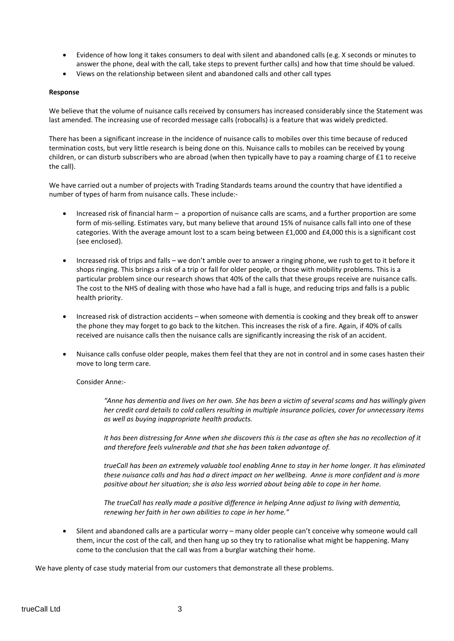- Evidence of how long it takes consumers to deal with silent and abandoned calls (e.g. X seconds or minutes to answer the phone, deal with the call, take steps to prevent further calls) and how that time should be valued.
- Views on the relationship between silent and abandoned calls and other call types

#### **Response**

We believe that the volume of nuisance calls received by consumers has increased considerably since the Statement was last amended. The increasing use of recorded message calls (robocalls) is a feature that was widely predicted.

There has been a significant increase in the incidence of nuisance calls to mobiles over this time because of reduced termination costs, but very little research is being done on this. Nuisance calls to mobiles can be received by young children, or can disturb subscribers who are abroad (when then typically have to pay a roaming charge of £1 to receive the call).

We have carried out a number of projects with Trading Standards teams around the country that have identified a number of types of harm from nuisance calls. These include:-

- Increased risk of financial harm a proportion of nuisance calls are scams, and a further proportion are some form of mis-selling. Estimates vary, but many believe that around 15% of nuisance calls fall into one of these categories. With the average amount lost to a scam being between £1,000 and £4,000 this is a significant cost (see enclosed).
- Increased risk of trips and falls we don't amble over to answer a ringing phone, we rush to get to it before it shops ringing. This brings a risk of a trip or fall for older people, or those with mobility problems. This is a particular problem since our research shows that 40% of the calls that these groups receive are nuisance calls. The cost to the NHS of dealing with those who have had a fall is huge, and reducing trips and falls is a public health priority.
- Increased risk of distraction accidents when someone with dementia is cooking and they break off to answer the phone they may forget to go back to the kitchen. This increases the risk of a fire. Again, if 40% of calls received are nuisance calls then the nuisance calls are significantly increasing the risk of an accident.
- Nuisance calls confuse older people, makes them feel that they are not in control and in some cases hasten their move to long term care.

#### Consider Anne:-

*"Anne has dementia and lives on her own. She has been a victim of several scams and has willingly given her credit card details to cold callers resulting in multiple insurance policies, cover for unnecessary items as well as buying inappropriate health products.* 

*It has been distressing for Anne when she discovers this is the case as often she has no recollection of it and therefore feels vulnerable and that she has been taken advantage of.*

*trueCall has been an extremely valuable tool enabling Anne to stay in her home longer. It has eliminated these nuisance calls and has had a direct impact on her wellbeing. Anne is more confident and is more positive about her situation; she is also less worried about being able to cope in her home.* 

*The trueCall has really made a positive difference in helping Anne adjust to living with dementia, renewing her faith in her own abilities to cope in her home."*

• Silent and abandoned calls are a particular worry – many older people can't conceive why someone would call them, incur the cost of the call, and then hang up so they try to rationalise what might be happening. Many come to the conclusion that the call was from a burglar watching their home.

We have plenty of case study material from our customers that demonstrate all these problems.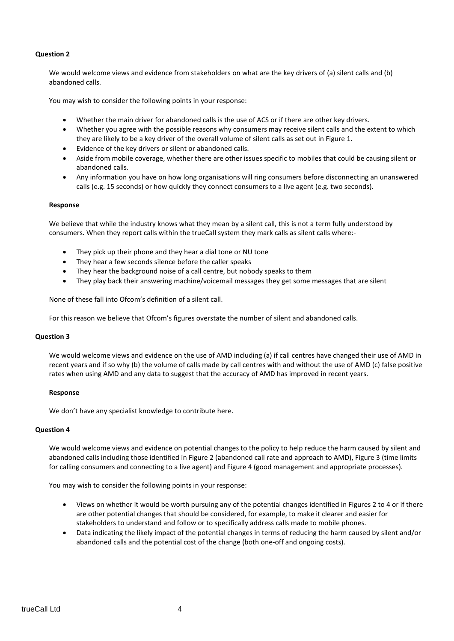#### **Question 2**

We would welcome views and evidence from stakeholders on what are the key drivers of (a) silent calls and (b) abandoned calls.

You may wish to consider the following points in your response:

- Whether the main driver for abandoned calls is the use of ACS or if there are other key drivers.
- Whether you agree with the possible reasons why consumers may receive silent calls and the extent to which they are likely to be a key driver of the overall volume of silent calls as set out in Figure 1.
- Evidence of the key drivers or silent or abandoned calls.
- Aside from mobile coverage, whether there are other issues specific to mobiles that could be causing silent or abandoned calls.
- Any information you have on how long organisations will ring consumers before disconnecting an unanswered calls (e.g. 15 seconds) or how quickly they connect consumers to a live agent (e.g. two seconds).

#### **Response**

We believe that while the industry knows what they mean by a silent call, this is not a term fully understood by consumers. When they report calls within the trueCall system they mark calls as silent calls where:-

- They pick up their phone and they hear a dial tone or NU tone
- They hear a few seconds silence before the caller speaks
- They hear the background noise of a call centre, but nobody speaks to them
- They play back their answering machine/voicemail messages they get some messages that are silent

None of these fall into Ofcom's definition of a silent call.

For this reason we believe that Ofcom's figures overstate the number of silent and abandoned calls.

#### **Question 3**

We would welcome views and evidence on the use of AMD including (a) if call centres have changed their use of AMD in recent years and if so why (b) the volume of calls made by call centres with and without the use of AMD (c) false positive rates when using AMD and any data to suggest that the accuracy of AMD has improved in recent years.

#### **Response**

We don't have any specialist knowledge to contribute here.

#### **Question 4**

We would welcome views and evidence on potential changes to the policy to help reduce the harm caused by silent and abandoned calls including those identified in Figure 2 (abandoned call rate and approach to AMD), Figure 3 (time limits for calling consumers and connecting to a live agent) and Figure 4 (good management and appropriate processes).

You may wish to consider the following points in your response:

- Views on whether it would be worth pursuing any of the potential changes identified in Figures 2 to 4 or if there are other potential changes that should be considered, for example, to make it clearer and easier for stakeholders to understand and follow or to specifically address calls made to mobile phones.
- Data indicating the likely impact of the potential changes in terms of reducing the harm caused by silent and/or abandoned calls and the potential cost of the change (both one-off and ongoing costs).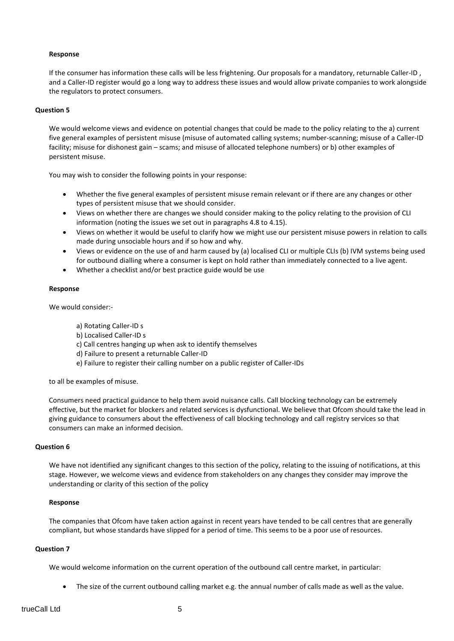#### **Response**

If the consumer has information these calls will be less frightening. Our proposals for a mandatory, returnable Caller-ID , and a Caller-ID register would go a long way to address these issues and would allow private companies to work alongside the regulators to protect consumers.

#### **Question 5**

We would welcome views and evidence on potential changes that could be made to the policy relating to the a) current five general examples of persistent misuse (misuse of automated calling systems; number-scanning; misuse of a Caller-ID facility; misuse for dishonest gain – scams; and misuse of allocated telephone numbers) or b) other examples of persistent misuse.

You may wish to consider the following points in your response:

- Whether the five general examples of persistent misuse remain relevant or if there are any changes or other types of persistent misuse that we should consider.
- Views on whether there are changes we should consider making to the policy relating to the provision of CLI information (noting the issues we set out in paragraphs 4.8 to 4.15).
- Views on whether it would be useful to clarify how we might use our persistent misuse powers in relation to calls made during unsociable hours and if so how and why.
- Views or evidence on the use of and harm caused by (a) localised CLI or multiple CLIs (b) IVM systems being used for outbound dialling where a consumer is kept on hold rather than immediately connected to a live agent.
- Whether a checklist and/or best practice guide would be use

#### **Response**

We would consider:-

- a) Rotating Caller-ID s
- b) Localised Caller-ID s
- c) Call centres hanging up when ask to identify themselves
- d) Failure to present a returnable Caller-ID
- e) Failure to register their calling number on a public register of Caller-IDs

to all be examples of misuse.

Consumers need practical guidance to help them avoid nuisance calls. Call blocking technology can be extremely effective, but the market for blockers and related services is dysfunctional. We believe that Ofcom should take the lead in giving guidance to consumers about the effectiveness of call blocking technology and call registry services so that consumers can make an informed decision.

#### **Question 6**

We have not identified any significant changes to this section of the policy, relating to the issuing of notifications, at this stage. However, we welcome views and evidence from stakeholders on any changes they consider may improve the understanding or clarity of this section of the policy

#### **Response**

The companies that Ofcom have taken action against in recent years have tended to be call centres that are generally compliant, but whose standards have slipped for a period of time. This seems to be a poor use of resources.

#### **Question 7**

We would welcome information on the current operation of the outbound call centre market, in particular:

• The size of the current outbound calling market e.g. the annual number of calls made as well as the value.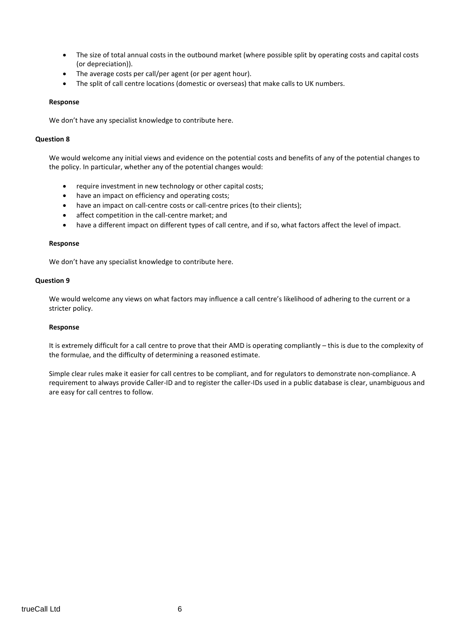- The size of total annual costs in the outbound market (where possible split by operating costs and capital costs (or depreciation)).
- The average costs per call/per agent (or per agent hour).
- The split of call centre locations (domestic or overseas) that make calls to UK numbers.

#### **Response**

We don't have any specialist knowledge to contribute here.

#### **Question 8**

We would welcome any initial views and evidence on the potential costs and benefits of any of the potential changes to the policy. In particular, whether any of the potential changes would:

- require investment in new technology or other capital costs;
- have an impact on efficiency and operating costs;
- have an impact on call-centre costs or call-centre prices (to their clients);
- affect competition in the call-centre market; and
- have a different impact on different types of call centre, and if so, what factors affect the level of impact.

#### **Response**

We don't have any specialist knowledge to contribute here.

#### **Question 9**

We would welcome any views on what factors may influence a call centre's likelihood of adhering to the current or a stricter policy.

#### **Response**

It is extremely difficult for a call centre to prove that their AMD is operating compliantly – this is due to the complexity of the formulae, and the difficulty of determining a reasoned estimate.

Simple clear rules make it easier for call centres to be compliant, and for regulators to demonstrate non-compliance. A requirement to always provide Caller-ID and to register the caller-IDs used in a public database is clear, unambiguous and are easy for call centres to follow.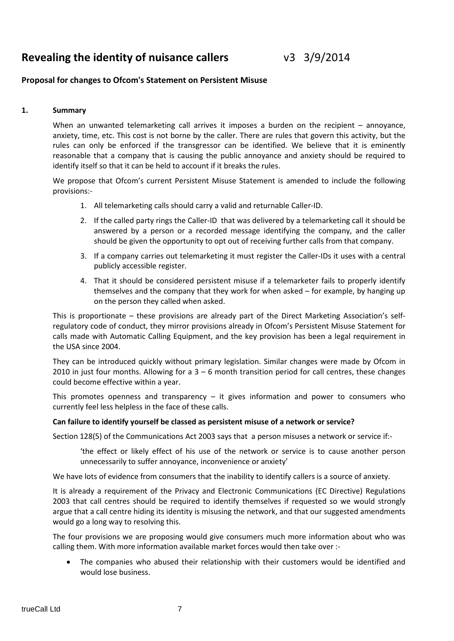# **Revealing the identity of nuisance callers** v3 3/9/2014

#### **Proposal for changes to Ofcom's Statement on Persistent Misuse**

#### **1. Summary**

When an unwanted telemarketing call arrives it imposes a burden on the recipient – annoyance, anxiety, time, etc. This cost is not borne by the caller. There are rules that govern this activity, but the rules can only be enforced if the transgressor can be identified. We believe that it is eminently reasonable that a company that is causing the public annoyance and anxiety should be required to identify itself so that it can be held to account if it breaks the rules.

We propose that Ofcom's current Persistent Misuse Statement is amended to include the following provisions:-

- 1. All telemarketing calls should carry a valid and returnable Caller-ID.
- 2. If the called party rings the Caller-ID that was delivered by a telemarketing call it should be answered by a person or a recorded message identifying the company, and the caller should be given the opportunity to opt out of receiving further calls from that company.
- 3. If a company carries out telemarketing it must register the Caller-IDs it uses with a central publicly accessible register.
- 4. That it should be considered persistent misuse if a telemarketer fails to properly identify themselves and the company that they work for when asked – for example, by hanging up on the person they called when asked.

This is proportionate – these provisions are already part of the Direct Marketing Association's selfregulatory code of conduct, they mirror provisions already in Ofcom's Persistent Misuse Statement for calls made with Automatic Calling Equipment, and the key provision has been a legal requirement in the USA since 2004.

They can be introduced quickly without primary legislation. Similar changes were made by Ofcom in 2010 in just four months. Allowing for a  $3 - 6$  month transition period for call centres, these changes could become effective within a year.

This promotes openness and transparency  $-$  it gives information and power to consumers who currently feel less helpless in the face of these calls.

#### **Can failure to identify yourself be classed as persistent misuse of a network or service?**

Section 128(5) of the Communications Act 2003 says that a person misuses a network or service if:-

'the effect or likely effect of his use of the network or service is to cause another person unnecessarily to suffer annoyance, inconvenience or anxiety'

We have lots of evidence from consumers that the inability to identify callers is a source of anxiety.

It is already a requirement of the Privacy and Electronic Communications (EC Directive) Regulations 2003 that call centres should be required to identify themselves if requested so we would strongly argue that a call centre hiding its identity is misusing the network, and that our suggested amendments would go a long way to resolving this.

The four provisions we are proposing would give consumers much more information about who was calling them. With more information available market forces would then take over :-

The companies who abused their relationship with their customers would be identified and would lose business.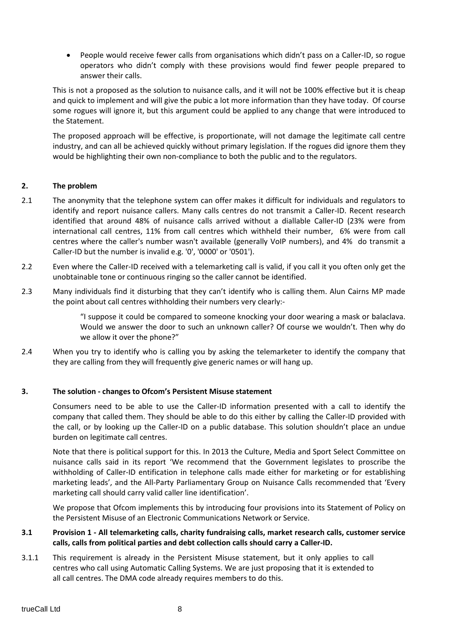• People would receive fewer calls from organisations which didn't pass on a Caller-ID, so rogue operators who didn't comply with these provisions would find fewer people prepared to answer their calls.

This is not a proposed as the solution to nuisance calls, and it will not be 100% effective but it is cheap and quick to implement and will give the pubic a lot more information than they have today. Of course some rogues will ignore it, but this argument could be applied to any change that were introduced to the Statement.

The proposed approach will be effective, is proportionate, will not damage the legitimate call centre industry, and can all be achieved quickly without primary legislation. If the rogues did ignore them they would be highlighting their own non-compliance to both the public and to the regulators.

#### **2. The problem**

- 2.1 The anonymity that the telephone system can offer makes it difficult for individuals and regulators to identify and report nuisance callers. Many calls centres do not transmit a Caller-ID. Recent research identified that around 48% of nuisance calls arrived without a diallable Caller-ID (23% were from international call centres, 11% from call centres which withheld their number, 6% were from call centres where the caller's number wasn't available (generally VoIP numbers), and 4% do transmit a Caller-ID but the number is invalid e.g. '0', '0000' or '0501').
- 2.2 Even where the Caller-ID received with a telemarketing call is valid, if you call it you often only get the unobtainable tone or continuous ringing so the caller cannot be identified.
- 2.3 Many individuals find it disturbing that they can't identify who is calling them. Alun Cairns MP made the point about call centres withholding their numbers very clearly:-

"I suppose it could be compared to someone knocking your door wearing a mask or balaclava. Would we answer the door to such an unknown caller? Of course we wouldn't. Then why do we allow it over the phone?"

2.4 When you try to identify who is calling you by asking the telemarketer to identify the company that they are calling from they will frequently give generic names or will hang up.

#### **3. The solution - changes to Ofcom's Persistent Misuse statement**

Consumers need to be able to use the Caller-ID information presented with a call to identify the company that called them. They should be able to do this either by calling the Caller-ID provided with the call, or by looking up the Caller-ID on a public database. This solution shouldn't place an undue burden on legitimate call centres.

Note that there is political support for this. In 2013 the Culture, Media and Sport Select Committee on nuisance calls said in its report 'We recommend that the Government legislates to proscribe the withholding of Caller-ID entification in telephone calls made either for marketing or for establishing marketing leads', and the All-Party Parliamentary Group on Nuisance Calls recommended that 'Every marketing call should carry valid caller line identification'.

We propose that Ofcom implements this by introducing four provisions into its Statement of Policy on the Persistent Misuse of an Electronic Communications Network or Service.

#### **3.1 Provision 1 - All telemarketing calls, charity fundraising calls, market research calls, customer service calls, calls from political parties and debt collection calls should carry a Caller-ID.**

3.1.1 This requirement is already in the Persistent Misuse statement, but it only applies to call centres who call using Automatic Calling Systems. We are just proposing that it is extended to all call centres. The DMA code already requires members to do this.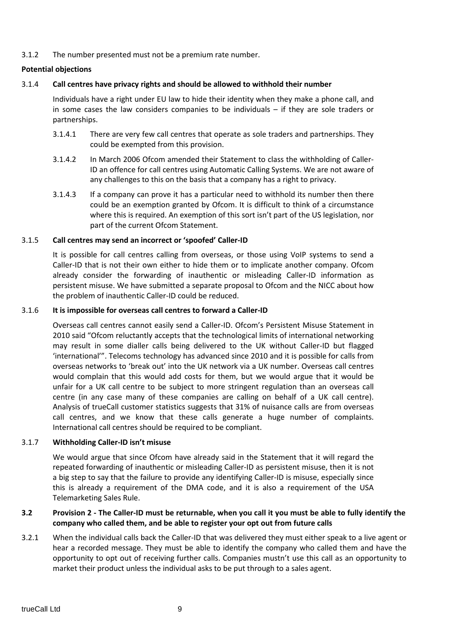3.1.2 The number presented must not be a premium rate number.

#### **Potential objections**

#### 3.1.4 **Call centres have privacy rights and should be allowed to withhold their number**

Individuals have a right under EU law to hide their identity when they make a phone call, and in some cases the law considers companies to be individuals  $-$  if they are sole traders or partnerships.

- 3.1.4.1 There are very few call centres that operate as sole traders and partnerships. They could be exempted from this provision.
- 3.1.4.2 In March 2006 Ofcom amended their Statement to class the withholding of Caller-ID an offence for call centres using Automatic Calling Systems. We are not aware of any challenges to this on the basis that a company has a right to privacy.
- 3.1.4.3 If a company can prove it has a particular need to withhold its number then there could be an exemption granted by Ofcom. It is difficult to think of a circumstance where this is required. An exemption of this sort isn't part of the US legislation, nor part of the current Ofcom Statement.

#### 3.1.5 **Call centres may send an incorrect or 'spoofed' Caller-ID**

It is possible for call centres calling from overseas, or those using VoIP systems to send a Caller-ID that is not their own either to hide them or to implicate another company. Ofcom already consider the forwarding of inauthentic or misleading Caller-ID information as persistent misuse. We have submitted a separate proposal to Ofcom and the NICC about how the problem of inauthentic Caller-ID could be reduced.

#### 3.1.6 **It is impossible for overseas call centres to forward a Caller-ID**

Overseas call centres cannot easily send a Caller-ID. Ofcom's Persistent Misuse Statement in 2010 said "Ofcom reluctantly accepts that the technological limits of international networking may result in some dialler calls being delivered to the UK without Caller-ID but flagged 'international'". Telecoms technology has advanced since 2010 and it is possible for calls from overseas networks to 'break out' into the UK network via a UK number. Overseas call centres would complain that this would add costs for them, but we would argue that it would be unfair for a UK call centre to be subject to more stringent regulation than an overseas call centre (in any case many of these companies are calling on behalf of a UK call centre). Analysis of trueCall customer statistics suggests that 31% of nuisance calls are from overseas call centres, and we know that these calls generate a huge number of complaints. International call centres should be required to be compliant.

#### 3.1.7 **Withholding Caller-ID isn't misuse**

We would argue that since Ofcom have already said in the Statement that it will regard the repeated forwarding of inauthentic or misleading Caller-ID as persistent misuse, then it is not a big step to say that the failure to provide any identifying Caller-ID is misuse, especially since this is already a requirement of the DMA code, and it is also a requirement of the USA Telemarketing Sales Rule.

#### **3.2 Provision 2 - The Caller-ID must be returnable, when you call it you must be able to fully identify the company who called them, and be able to register your opt out from future calls**

3.2.1 When the individual calls back the Caller-ID that was delivered they must either speak to a live agent or hear a recorded message. They must be able to identify the company who called them and have the opportunity to opt out of receiving further calls. Companies mustn't use this call as an opportunity to market their product unless the individual asks to be put through to a sales agent.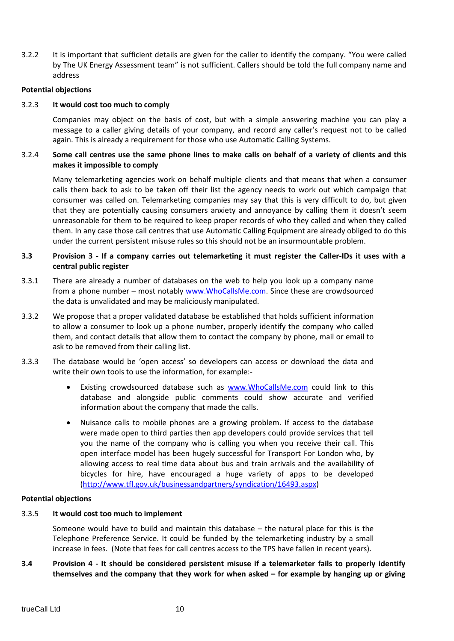3.2.2 It is important that sufficient details are given for the caller to identify the company. "You were called by The UK Energy Assessment team" is not sufficient. Callers should be told the full company name and address

#### **Potential objections**

#### 3.2.3 **It would cost too much to comply**

Companies may object on the basis of cost, but with a simple answering machine you can play a message to a caller giving details of your company, and record any caller's request not to be called again. This is already a requirement for those who use Automatic Calling Systems.

#### 3.2.4 **Some call centres use the same phone lines to make calls on behalf of a variety of clients and this makes it impossible to comply**

Many telemarketing agencies work on behalf multiple clients and that means that when a consumer calls them back to ask to be taken off their list the agency needs to work out which campaign that consumer was called on. Telemarketing companies may say that this is very difficult to do, but given that they are potentially causing consumers anxiety and annoyance by calling them it doesn't seem unreasonable for them to be required to keep proper records of who they called and when they called them. In any case those call centres that use Automatic Calling Equipment are already obliged to do this under the current persistent misuse rules so this should not be an insurmountable problem.

#### **3.3 Provision 3 - If a company carries out telemarketing it must register the Caller-IDs it uses with a central public register**

- 3.3.1 There are already a number of databases on the web to help you look up a company name from a phone number – most notably [www.WhoCallsMe.com.](http://www.whocallsme.com/) Since these are crowdsourced the data is unvalidated and may be maliciously manipulated.
- 3.3.2 We propose that a proper validated database be established that holds sufficient information to allow a consumer to look up a phone number, properly identify the company who called them, and contact details that allow them to contact the company by phone, mail or email to ask to be removed from their calling list.
- 3.3.3 The database would be 'open access' so developers can access or download the data and write their own tools to use the information, for example:
	- Existing crowdsourced database such as [www.WhoCallsMe.com](http://www.whocallsme.com/) could link to this database and alongside public comments could show accurate and verified information about the company that made the calls.
	- Nuisance calls to mobile phones are a growing problem. If access to the database were made open to third parties then app developers could provide services that tell you the name of the company who is calling you when you receive their call. This open interface model has been hugely successful for Transport For London who, by allowing access to real time data about bus and train arrivals and the availability of bicycles for hire, have encouraged a huge variety of apps to be developed [\(http://www.tfl.gov.uk/businessandpartners/syndication/16493.aspx\)](http://www.tfl.gov.uk/businessandpartners/syndication/16493.aspx)

#### **Potential objections**

#### 3.3.5 **It would cost too much to implement**

Someone would have to build and maintain this database – the natural place for this is the Telephone Preference Service. It could be funded by the telemarketing industry by a small increase in fees. (Note that fees for call centres access to the TPS have fallen in recent years).

#### **3.4 Provision 4 - It should be considered persistent misuse if a telemarketer fails to properly identify themselves and the company that they work for when asked – for example by hanging up or giving**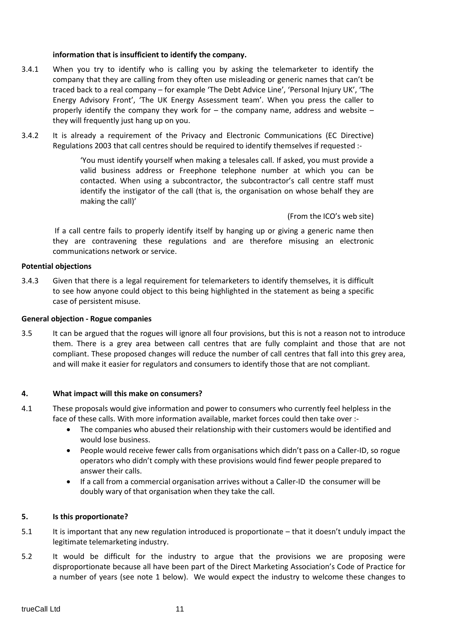#### **information that is insufficient to identify the company.**

- 3.4.1 When you try to identify who is calling you by asking the telemarketer to identify the company that they are calling from they often use misleading or generic names that can't be traced back to a real company – for example 'The Debt Advice Line', 'Personal Injury UK', 'The Energy Advisory Front', 'The UK Energy Assessment team'. When you press the caller to properly identify the company they work for  $-$  the company name, address and website  $$ they will frequently just hang up on you.
- 3.4.2 It is already a requirement of the Privacy and Electronic Communications (EC Directive) Regulations 2003 that call centres should be required to identify themselves if requested :-

'You must identify yourself when making a telesales call. If asked, you must provide a valid business address or Freephone telephone number at which you can be contacted. When using a subcontractor, the subcontractor's call centre staff must identify the instigator of the call (that is, the organisation on whose behalf they are making the call)'

(From the ICO's web site)

If a call centre fails to properly identify itself by hanging up or giving a generic name then they are contravening these regulations and are therefore misusing an electronic communications network or service.

#### **Potential objections**

3.4.3 Given that there is a legal requirement for telemarketers to identify themselves, it is difficult to see how anyone could object to this being highlighted in the statement as being a specific case of persistent misuse.

#### **General objection - Rogue companies**

3.5 It can be argued that the rogues will ignore all four provisions, but this is not a reason not to introduce them. There is a grey area between call centres that are fully complaint and those that are not compliant. These proposed changes will reduce the number of call centres that fall into this grey area, and will make it easier for regulators and consumers to identify those that are not compliant.

#### **4. What impact will this make on consumers?**

- 4.1 These proposals would give information and power to consumers who currently feel helpless in the face of these calls. With more information available, market forces could then take over :-
	- The companies who abused their relationship with their customers would be identified and would lose business.
	- People would receive fewer calls from organisations which didn't pass on a Caller-ID, so rogue operators who didn't comply with these provisions would find fewer people prepared to answer their calls.
	- If a call from a commercial organisation arrives without a Caller-ID the consumer will be doubly wary of that organisation when they take the call.

#### **5. Is this proportionate?**

- 5.1 It is important that any new regulation introduced is proportionate that it doesn't unduly impact the legitimate telemarketing industry.
- 5.2 It would be difficult for the industry to argue that the provisions we are proposing were disproportionate because all have been part of the Direct Marketing Association's Code of Practice for a number of years (see note 1 below). We would expect the industry to welcome these changes to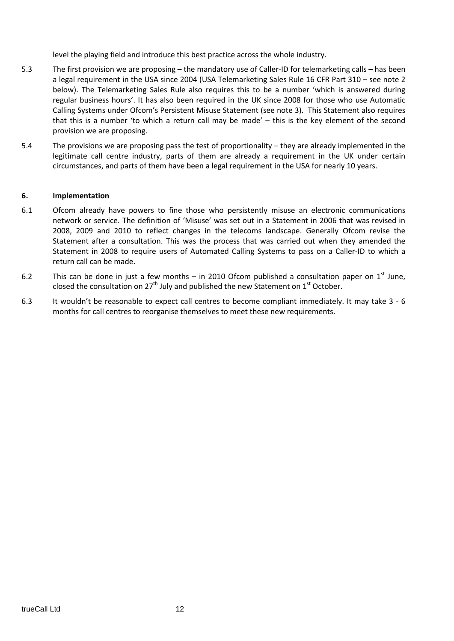level the playing field and introduce this best practice across the whole industry.

- 5.3 The first provision we are proposing the mandatory use of Caller-ID for telemarketing calls has been a legal requirement in the USA since 2004 (USA Telemarketing Sales Rule 16 CFR Part 310 – see note 2 below). The Telemarketing Sales Rule also requires this to be a number 'which is answered during regular business hours'. It has also been required in the UK since 2008 for those who use Automatic Calling Systems under Ofcom's Persistent Misuse Statement (see note 3). This Statement also requires that this is a number 'to which a return call may be made' – this is the key element of the second provision we are proposing.
- 5.4 The provisions we are proposing pass the test of proportionality they are already implemented in the legitimate call centre industry, parts of them are already a requirement in the UK under certain circumstances, and parts of them have been a legal requirement in the USA for nearly 10 years.

#### **6. Implementation**

- 6.1 Ofcom already have powers to fine those who persistently misuse an electronic communications network or service. The definition of 'Misuse' was set out in a Statement in 2006 that was revised in 2008, 2009 and 2010 to reflect changes in the telecoms landscape. Generally Ofcom revise the Statement after a consultation. This was the process that was carried out when they amended the Statement in 2008 to require users of Automated Calling Systems to pass on a Caller-ID to which a return call can be made.
- 6.2 This can be done in just a few months in 2010 Ofcom published a consultation paper on  $1<sup>st</sup>$  June, closed the consultation on  $27<sup>th</sup>$  July and published the new Statement on  $1<sup>st</sup>$  October.
- 6.3 It wouldn't be reasonable to expect call centres to become compliant immediately. It may take 3 6 months for call centres to reorganise themselves to meet these new requirements.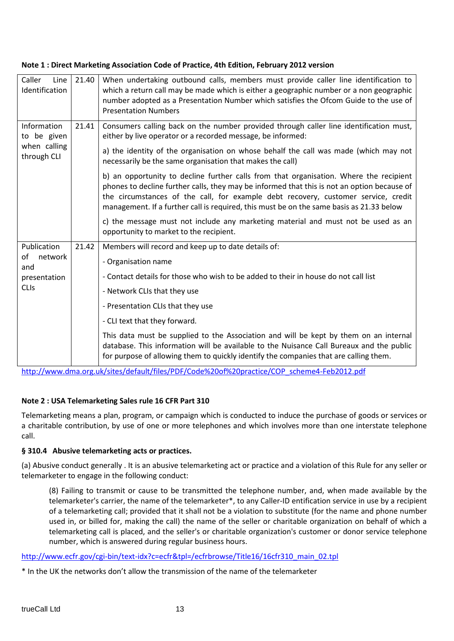| Caller<br>Line<br>Identification                          | 21.40 | When undertaking outbound calls, members must provide caller line identification to<br>which a return call may be made which is either a geographic number or a non geographic<br>number adopted as a Presentation Number which satisfies the Ofcom Guide to the use of<br><b>Presentation Numbers</b>                                                                  |
|-----------------------------------------------------------|-------|-------------------------------------------------------------------------------------------------------------------------------------------------------------------------------------------------------------------------------------------------------------------------------------------------------------------------------------------------------------------------|
| Information<br>to be given<br>when calling<br>through CLI | 21.41 | Consumers calling back on the number provided through caller line identification must,<br>either by live operator or a recorded message, be informed:                                                                                                                                                                                                                   |
|                                                           |       | a) the identity of the organisation on whose behalf the call was made (which may not<br>necessarily be the same organisation that makes the call)                                                                                                                                                                                                                       |
|                                                           |       | b) an opportunity to decline further calls from that organisation. Where the recipient<br>phones to decline further calls, they may be informed that this is not an option because of<br>the circumstances of the call, for example debt recovery, customer service, credit<br>management. If a further call is required, this must be on the same basis as 21.33 below |
|                                                           |       | c) the message must not include any marketing material and must not be used as an<br>opportunity to market to the recipient.                                                                                                                                                                                                                                            |
| Publication                                               | 21.42 | Members will record and keep up to date details of:                                                                                                                                                                                                                                                                                                                     |
| of<br>network<br>and                                      |       | - Organisation name                                                                                                                                                                                                                                                                                                                                                     |
| presentation                                              |       | - Contact details for those who wish to be added to their in house do not call list                                                                                                                                                                                                                                                                                     |
| <b>CLIs</b>                                               |       | - Network CLIs that they use                                                                                                                                                                                                                                                                                                                                            |
|                                                           |       | - Presentation CLIs that they use                                                                                                                                                                                                                                                                                                                                       |
|                                                           |       | - CLI text that they forward.                                                                                                                                                                                                                                                                                                                                           |
|                                                           |       | This data must be supplied to the Association and will be kept by them on an internal<br>database. This information will be available to the Nuisance Call Bureaux and the public<br>for purpose of allowing them to quickly identify the companies that are calling them.                                                                                              |

### **Note 1 : Direct Marketing Association Code of Practice, 4th Edition, February 2012 version**

[http://www.dma.org.uk/sites/default/files/PDF/Code%20of%20practice/COP\\_scheme4-Feb2012.pdf](http://www.dma.org.uk/sites/default/files/PDF/Code%20of%20practice/COP_scheme4-Feb2012.pdf)

# **Note 2 : USA Telemarketing Sales rule 16 CFR Part 310**

Telemarketing means a plan, program, or campaign which is conducted to induce the purchase of goods or services or a charitable contribution, by use of one or more telephones and which involves more than one interstate telephone call.

## **§ 310.4 Abusive telemarketing acts or practices.**

(a) Abusive conduct generally . It is an abusive telemarketing act or practice and a violation of this Rule for any seller or telemarketer to engage in the following conduct:

(8) Failing to transmit or cause to be transmitted the telephone number, and, when made available by the telemarketer's carrier, the name of the telemarketer\*, to any Caller-ID entification service in use by a recipient of a telemarketing call; provided that it shall not be a violation to substitute (for the name and phone number used in, or billed for, making the call) the name of the seller or charitable organization on behalf of which a telemarketing call is placed, and the seller's or charitable organization's customer or donor service telephone number, which is answered during regular business hours.

[http://www.ecfr.gov/cgi-bin/text-idx?c=ecfr&tpl=/ecfrbrowse/Title16/16cfr310\\_main\\_02.tpl](http://www.ecfr.gov/cgi-bin/text-idx?c=ecfr&tpl=/ecfrbrowse/Title16/16cfr310_main_02.tpl)

\* In the UK the networks don't allow the transmission of the name of the telemarketer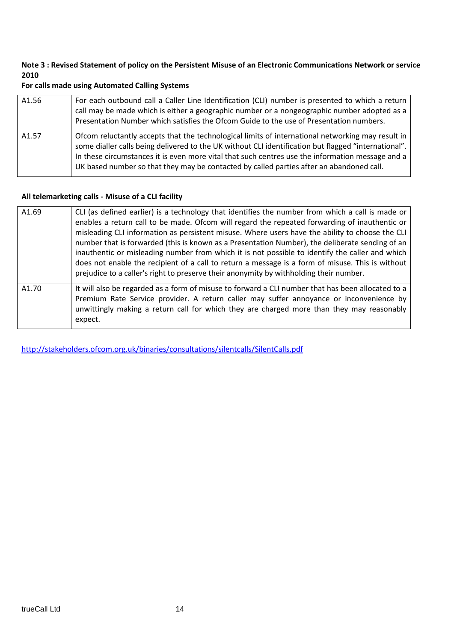#### **Note 3 : Revised Statement of policy on the Persistent Misuse of an Electronic Communications Network or service 2010**

#### **For calls made using Automated Calling Systems**

| A1.56 | For each outbound call a Caller Line Identification (CLI) number is presented to which a return<br>call may be made which is either a geographic number or a nongeographic number adopted as a<br>Presentation Number which satisfies the Ofcom Guide to the use of Presentation numbers.                                                                                                                  |
|-------|------------------------------------------------------------------------------------------------------------------------------------------------------------------------------------------------------------------------------------------------------------------------------------------------------------------------------------------------------------------------------------------------------------|
| A1.57 | Of com reluctantly accepts that the technological limits of international networking may result in<br>some dialler calls being delivered to the UK without CLI identification but flagged "international".<br>In these circumstances it is even more vital that such centres use the information message and a<br>UK based number so that they may be contacted by called parties after an abandoned call. |

#### **All telemarketing calls - Misuse of a CLI facility**

| A1.69 | CLI (as defined earlier) is a technology that identifies the number from which a call is made or<br>enables a return call to be made. Ofcom will regard the repeated forwarding of inauthentic or<br>misleading CLI information as persistent misuse. Where users have the ability to choose the CLI<br>number that is forwarded (this is known as a Presentation Number), the deliberate sending of an<br>inauthentic or misleading number from which it is not possible to identify the caller and which<br>does not enable the recipient of a call to return a message is a form of misuse. This is without<br>prejudice to a caller's right to preserve their anonymity by withholding their number. |
|-------|----------------------------------------------------------------------------------------------------------------------------------------------------------------------------------------------------------------------------------------------------------------------------------------------------------------------------------------------------------------------------------------------------------------------------------------------------------------------------------------------------------------------------------------------------------------------------------------------------------------------------------------------------------------------------------------------------------|
| A1.70 | It will also be regarded as a form of misuse to forward a CLI number that has been allocated to a<br>Premium Rate Service provider. A return caller may suffer annoyance or inconvenience by<br>unwittingly making a return call for which they are charged more than they may reasonably<br>expect.                                                                                                                                                                                                                                                                                                                                                                                                     |

<http://stakeholders.ofcom.org.uk/binaries/consultations/silentcalls/SilentCalls.pdf>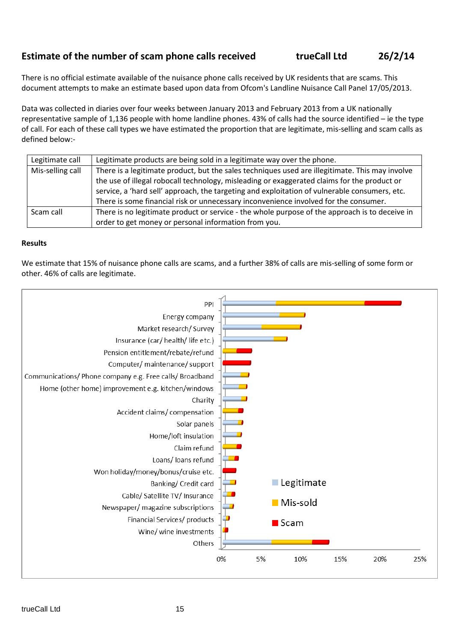# **Estimate of the number of scam phone calls received trueCall Ltd 26/2/14**

There is no official estimate available of the nuisance phone calls received by UK residents that are scams. This document attempts to make an estimate based upon data from Ofcom's Landline Nuisance Call Panel 17/05/2013.

Data was collected in diaries over four weeks between January 2013 and February 2013 from a UK nationally representative sample of 1,136 people with home landline phones. 43% of calls had the source identified – ie the type of call. For each of these call types we have estimated the proportion that are legitimate, mis-selling and scam calls as defined below:-

| Legitimate call  | Legitimate products are being sold in a legitimate way over the phone.                          |
|------------------|-------------------------------------------------------------------------------------------------|
| Mis-selling call | There is a legitimate product, but the sales techniques used are illegitimate. This may involve |
|                  | the use of illegal robocall technology, misleading or exaggerated claims for the product or     |
|                  | service, a 'hard sell' approach, the targeting and exploitation of vulnerable consumers, etc.   |
|                  | There is some financial risk or unnecessary inconvenience involved for the consumer.            |
| Scam call        | There is no legitimate product or service - the whole purpose of the approach is to deceive in  |
|                  | order to get money or personal information from you.                                            |

#### **Results**

We estimate that 15% of nuisance phone calls are scams, and a further 38% of calls are mis-selling of some form or other. 46% of calls are legitimate.

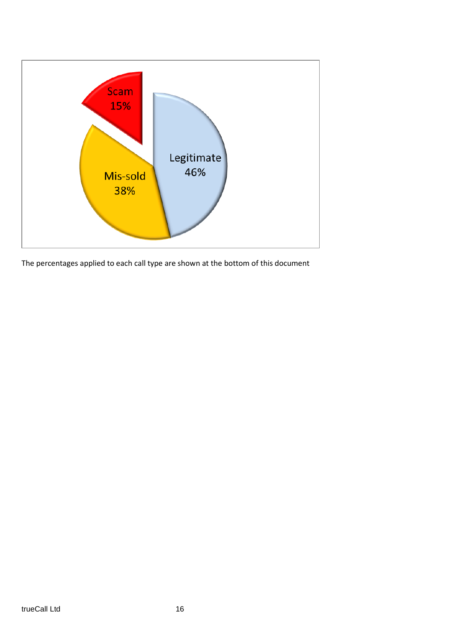

The percentages applied to each call type are shown at the bottom of this document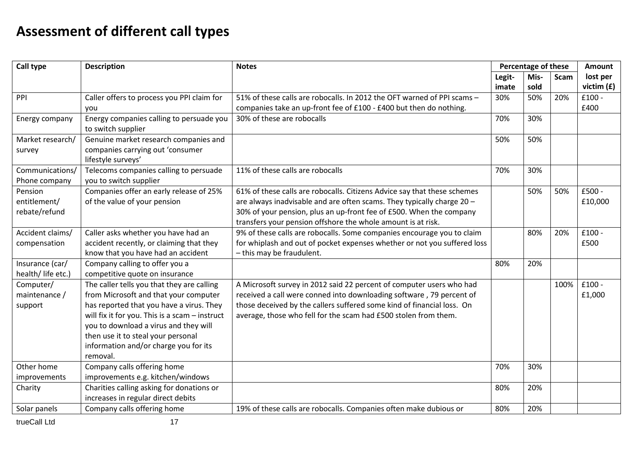# **Assessment of different call types**

| Call type                                | <b>Description</b>                                                                                                                                                                                                                                                                                                      | <b>Notes</b>                                                                                                                                                                                                                                                                              | Percentage of these |              |      | <b>Amount</b>            |
|------------------------------------------|-------------------------------------------------------------------------------------------------------------------------------------------------------------------------------------------------------------------------------------------------------------------------------------------------------------------------|-------------------------------------------------------------------------------------------------------------------------------------------------------------------------------------------------------------------------------------------------------------------------------------------|---------------------|--------------|------|--------------------------|
|                                          |                                                                                                                                                                                                                                                                                                                         |                                                                                                                                                                                                                                                                                           | Legit-<br>imate     | Mis-<br>sold | Scam | lost per<br>victim $(f)$ |
| PPI                                      | Caller offers to process you PPI claim for<br>you                                                                                                                                                                                                                                                                       | 51% of these calls are robocalls. In 2012 the OFT warned of PPI scams -<br>companies take an up-front fee of £100 - £400 but then do nothing.                                                                                                                                             | 30%                 | 50%          | 20%  | $£100 -$<br>£400         |
| Energy company                           | Energy companies calling to persuade you<br>to switch supplier                                                                                                                                                                                                                                                          | 30% of these are robocalls                                                                                                                                                                                                                                                                | 70%                 | 30%          |      |                          |
| Market research/<br>survey               | Genuine market research companies and<br>companies carrying out 'consumer<br>lifestyle surveys'                                                                                                                                                                                                                         |                                                                                                                                                                                                                                                                                           | 50%                 | 50%          |      |                          |
| Communications/<br>Phone company         | Telecoms companies calling to persuade<br>you to switch supplier                                                                                                                                                                                                                                                        | 11% of these calls are robocalls                                                                                                                                                                                                                                                          | 70%                 | 30%          |      |                          |
| Pension<br>entitlement/<br>rebate/refund | Companies offer an early release of 25%<br>of the value of your pension                                                                                                                                                                                                                                                 | 61% of these calls are robocalls. Citizens Advice say that these schemes<br>are always inadvisable and are often scams. They typically charge 20 -<br>30% of your pension, plus an up-front fee of £500. When the company<br>transfers your pension offshore the whole amount is at risk. |                     | 50%          | 50%  | £500 -<br>£10,000        |
| Accident claims/<br>compensation         | Caller asks whether you have had an<br>accident recently, or claiming that they<br>know that you have had an accident                                                                                                                                                                                                   | 9% of these calls are robocalls. Some companies encourage you to claim<br>for whiplash and out of pocket expenses whether or not you suffered loss<br>- this may be fraudulent.                                                                                                           |                     | 80%          | 20%  | $£100 -$<br>£500         |
| Insurance (car/<br>health/ life etc.)    | Company calling to offer you a<br>competitive quote on insurance                                                                                                                                                                                                                                                        |                                                                                                                                                                                                                                                                                           | 80%                 | 20%          |      |                          |
| Computer/<br>maintenance /<br>support    | The caller tells you that they are calling<br>from Microsoft and that your computer<br>has reported that you have a virus. They<br>will fix it for you. This is a scam $-$ instruct<br>you to download a virus and they will<br>then use it to steal your personal<br>information and/or charge you for its<br>removal. | A Microsoft survey in 2012 said 22 percent of computer users who had<br>received a call were conned into downloading software, 79 percent of<br>those deceived by the callers suffered some kind of financial loss. On<br>average, those who fell for the scam had £500 stolen from them. |                     |              | 100% | $£100 -$<br>£1,000       |
| Other home<br>improvements               | Company calls offering home<br>improvements e.g. kitchen/windows                                                                                                                                                                                                                                                        |                                                                                                                                                                                                                                                                                           | 70%                 | 30%          |      |                          |
| Charity                                  | Charities calling asking for donations or<br>increases in regular direct debits                                                                                                                                                                                                                                         |                                                                                                                                                                                                                                                                                           | 80%                 | 20%          |      |                          |
| Solar panels                             | Company calls offering home                                                                                                                                                                                                                                                                                             | 19% of these calls are robocalls. Companies often make dubious or                                                                                                                                                                                                                         | 80%                 | 20%          |      |                          |

trueCall Ltd 17